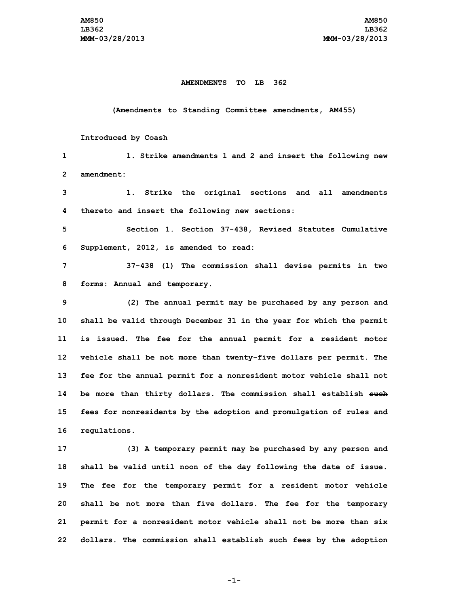## **AMENDMENTS TO LB 362**

## **(Amendments to Standing Committee amendments, AM455)**

## **Introduced by Coash**

 **1. Strike amendments 1 and 2 and insert the following new amendment: 1. Strike the original sections and all amendments thereto and insert the following new sections: Section 1. Section 37-438, Revised Statutes Cumulative Supplement, 2012, is amended to read: 37-438 (1) The commission shall devise permits in two forms: Annual and temporary. (2) The annual permit may be purchased by any person and shall be valid through December 31 in the year for which the permit is issued. The fee for the annual permit for <sup>a</sup> resident motor vehicle shall be not more than twenty-five dollars per permit. The fee for the annual permit for <sup>a</sup> nonresident motor vehicle shall not be more than thirty dollars. The commission shall establish such fees for nonresidents by the adoption and promulgation of rules and regulations. (3) <sup>A</sup> temporary permit may be purchased by any person and shall be valid until noon of the day following the date of issue.**

 **The fee for the temporary permit for <sup>a</sup> resident motor vehicle shall be not more than five dollars. The fee for the temporary permit for <sup>a</sup> nonresident motor vehicle shall not be more than six dollars. The commission shall establish such fees by the adoption**

**-1-**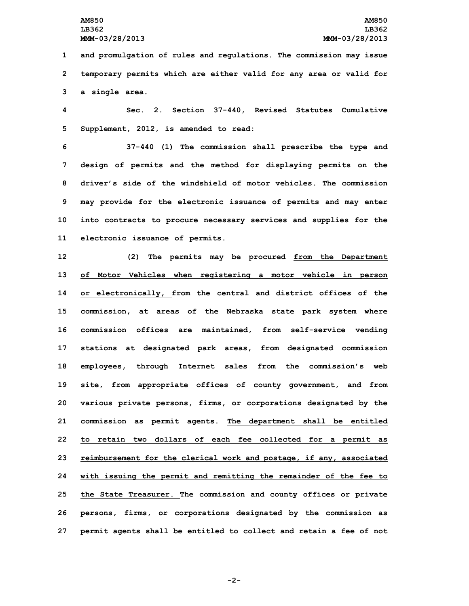**1 and promulgation of rules and regulations. The commission may issue 2 temporary permits which are either valid for any area or valid for 3 <sup>a</sup> single area.**

**4 Sec. 2. Section 37-440, Revised Statutes Cumulative 5 Supplement, 2012, is amended to read:**

 **37-440 (1) The commission shall prescribe the type and design of permits and the method for displaying permits on the driver's side of the windshield of motor vehicles. The commission may provide for the electronic issuance of permits and may enter into contracts to procure necessary services and supplies for the electronic issuance of permits.**

 **(2) The permits may be procured from the Department of Motor Vehicles when registering <sup>a</sup> motor vehicle in person or electronically, from the central and district offices of the commission, at areas of the Nebraska state park system where commission offices are maintained, from self-service vending stations at designated park areas, from designated commission employees, through Internet sales from the commission's web site, from appropriate offices of county government, and from various private persons, firms, or corporations designated by the commission as permit agents. The department shall be entitled to retain two dollars of each fee collected for <sup>a</sup> permit as reimbursement for the clerical work and postage, if any, associated with issuing the permit and remitting the remainder of the fee to the State Treasurer. The commission and county offices or private persons, firms, or corporations designated by the commission as permit agents shall be entitled to collect and retain <sup>a</sup> fee of not**

**-2-**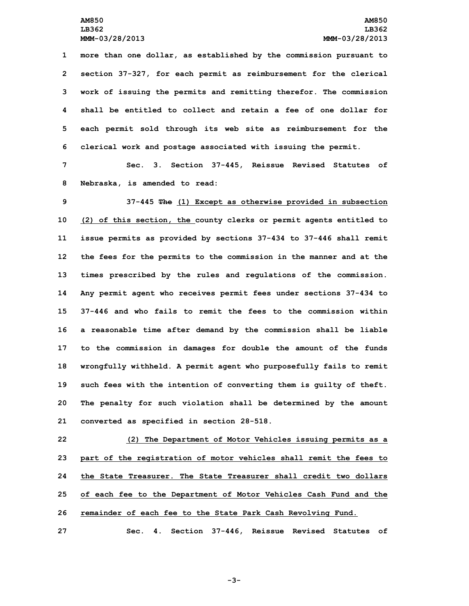**more than one dollar, as established by the commission pursuant to section 37-327, for each permit as reimbursement for the clerical work of issuing the permits and remitting therefor. The commission shall be entitled to collect and retain a fee of one dollar for each permit sold through its web site as reimbursement for the clerical work and postage associated with issuing the permit.**

**7 Sec. 3. Section 37-445, Reissue Revised Statutes of 8 Nebraska, is amended to read:**

 **37-445 The (1) Except as otherwise provided in subsection (2) of this section, the county clerks or permit agents entitled to issue permits as provided by sections 37-434 to 37-446 shall remit the fees for the permits to the commission in the manner and at the times prescribed by the rules and regulations of the commission. Any permit agent who receives permit fees under sections 37-434 to 37-446 and who fails to remit the fees to the commission within <sup>a</sup> reasonable time after demand by the commission shall be liable to the commission in damages for double the amount of the funds wrongfully withheld. <sup>A</sup> permit agent who purposefully fails to remit such fees with the intention of converting them is guilty of theft. The penalty for such violation shall be determined by the amount converted as specified in section 28-518.**

 **(2) The Department of Motor Vehicles issuing permits as <sup>a</sup> part of the registration of motor vehicles shall remit the fees to the State Treasurer. The State Treasurer shall credit two dollars of each fee to the Department of Motor Vehicles Cash Fund and the remainder of each fee to the State Park Cash Revolving Fund.**

**27 Sec. 4. Section 37-446, Reissue Revised Statutes of**

**-3-**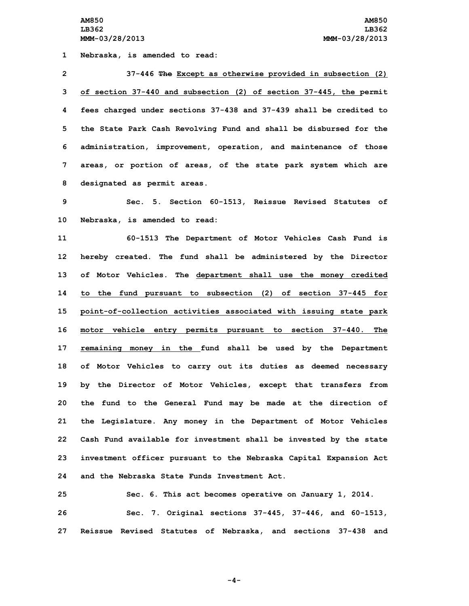**Nebraska, is amended to read: 37-446 The Except as otherwise provided in subsection (2) of section 37-440 and subsection (2) of section 37-445, the permit fees charged under sections 37-438 and 37-439 shall be credited to the State Park Cash Revolving Fund and shall be disbursed for the administration, improvement, operation, and maintenance of those areas, or portion of areas, of the state park system which are designated as permit areas.**

**9 Sec. 5. Section 60-1513, Reissue Revised Statutes of 10 Nebraska, is amended to read:**

 **60-1513 The Department of Motor Vehicles Cash Fund is hereby created. The fund shall be administered by the Director of Motor Vehicles. The department shall use the money credited to the fund pursuant to subsection (2) of section 37-445 for point-of-collection activities associated with issuing state park motor vehicle entry permits pursuant to section 37-440. The remaining money in the fund shall be used by the Department of Motor Vehicles to carry out its duties as deemed necessary by the Director of Motor Vehicles, except that transfers from the fund to the General Fund may be made at the direction of the Legislature. Any money in the Department of Motor Vehicles Cash Fund available for investment shall be invested by the state investment officer pursuant to the Nebraska Capital Expansion Act and the Nebraska State Funds Investment Act.**

**25 Sec. 6. This act becomes operative on January 1, 2014. 26 Sec. 7. Original sections 37-445, 37-446, and 60-1513, 27 Reissue Revised Statutes of Nebraska, and sections 37-438 and**

**-4-**